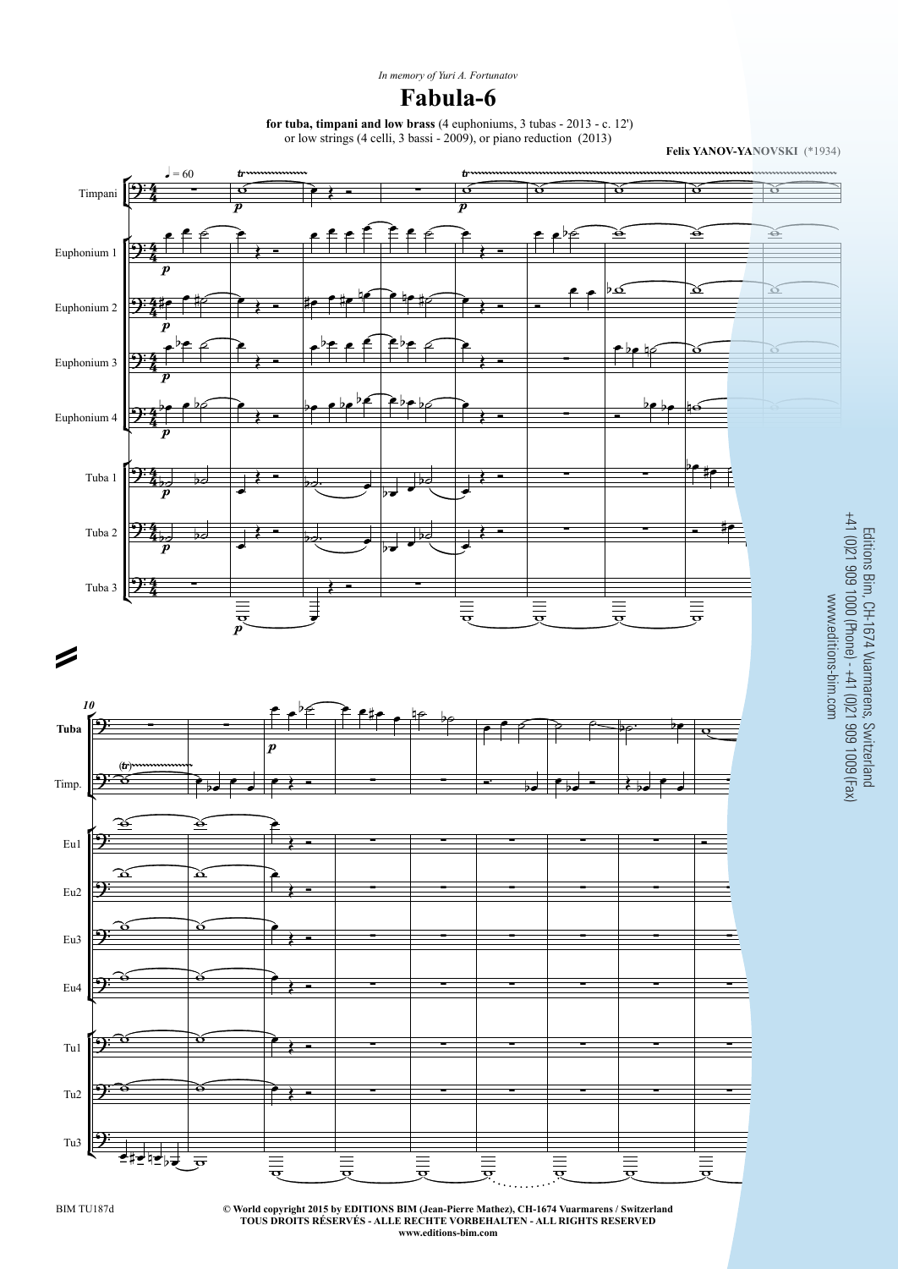**for tuba, timpani and low brass** (4 euphoniums, 3 tubas - 2013 - c. 12') $\frac{1}{2}$  and  $\frac{1}{2}$  bassi  $\frac{1}{2}$  bassi  $\frac{2000}{2}$  or piano reduction (2012)

**Felix YANOV-YANOVSKI** (\*1934)



**© World copyright 2015 by EDITIONS BIM (Jean-Pierre Mathez), CH-1674 Vuarmarens / SwitzerlandTOUS DROITS RÉSERVÉS - ALLE RECHTE VORBEHALTEN - ALL RIGHTS RESERVEDwww.editions-bim.com**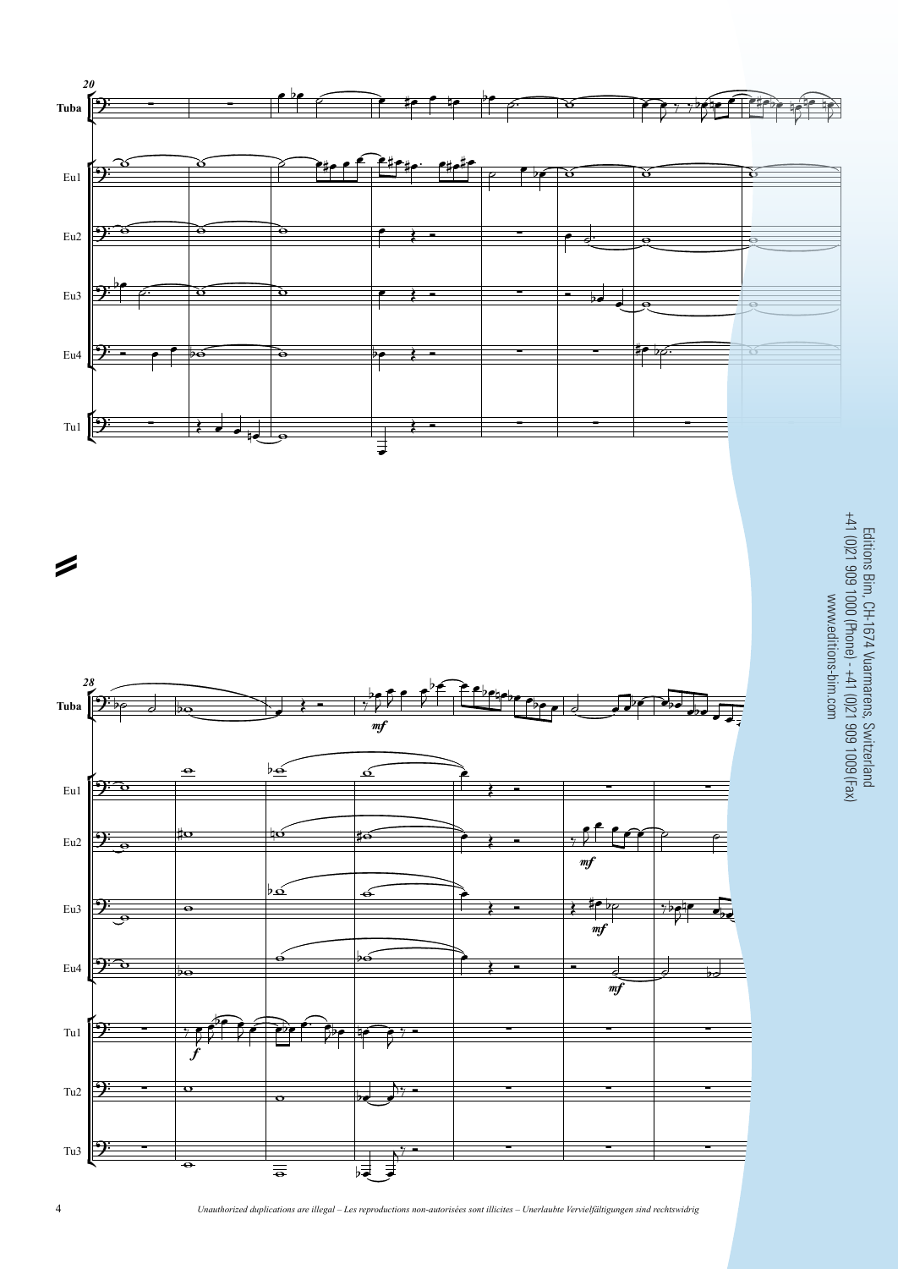

Editions Bim, CH-1674 Vuarmarens, Switzerland<br>← 41 (0)21 909 1000 (Phone) - +41 (0)21 909 1009 (Fax)<br>∞ww.editions-bim.com Editions Bim, CH-1674 Vuarmarens, Switzerland +41 (0)21 909 1000 (Phone) - +41 (0)21 909 1009 (Fax)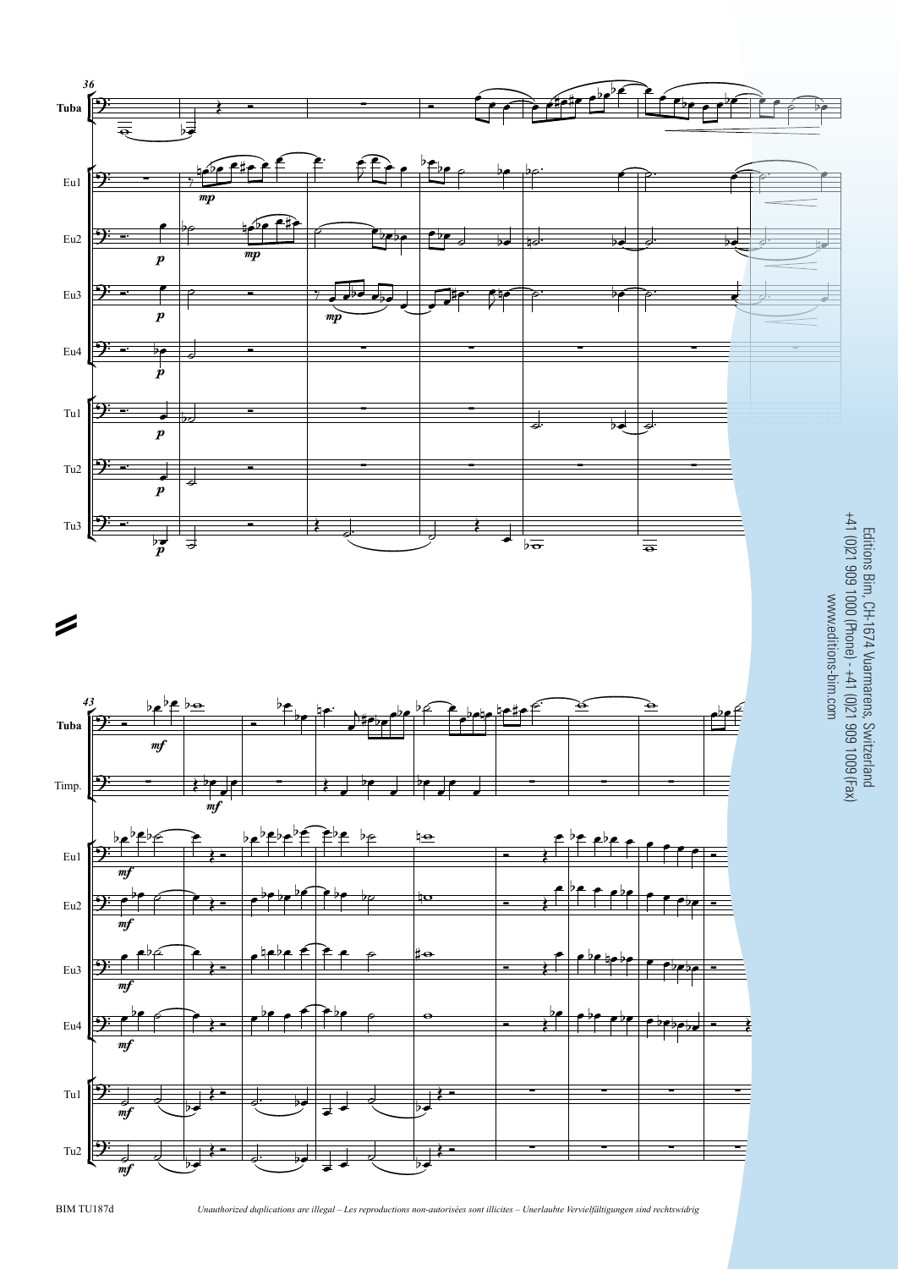

BIM TU187d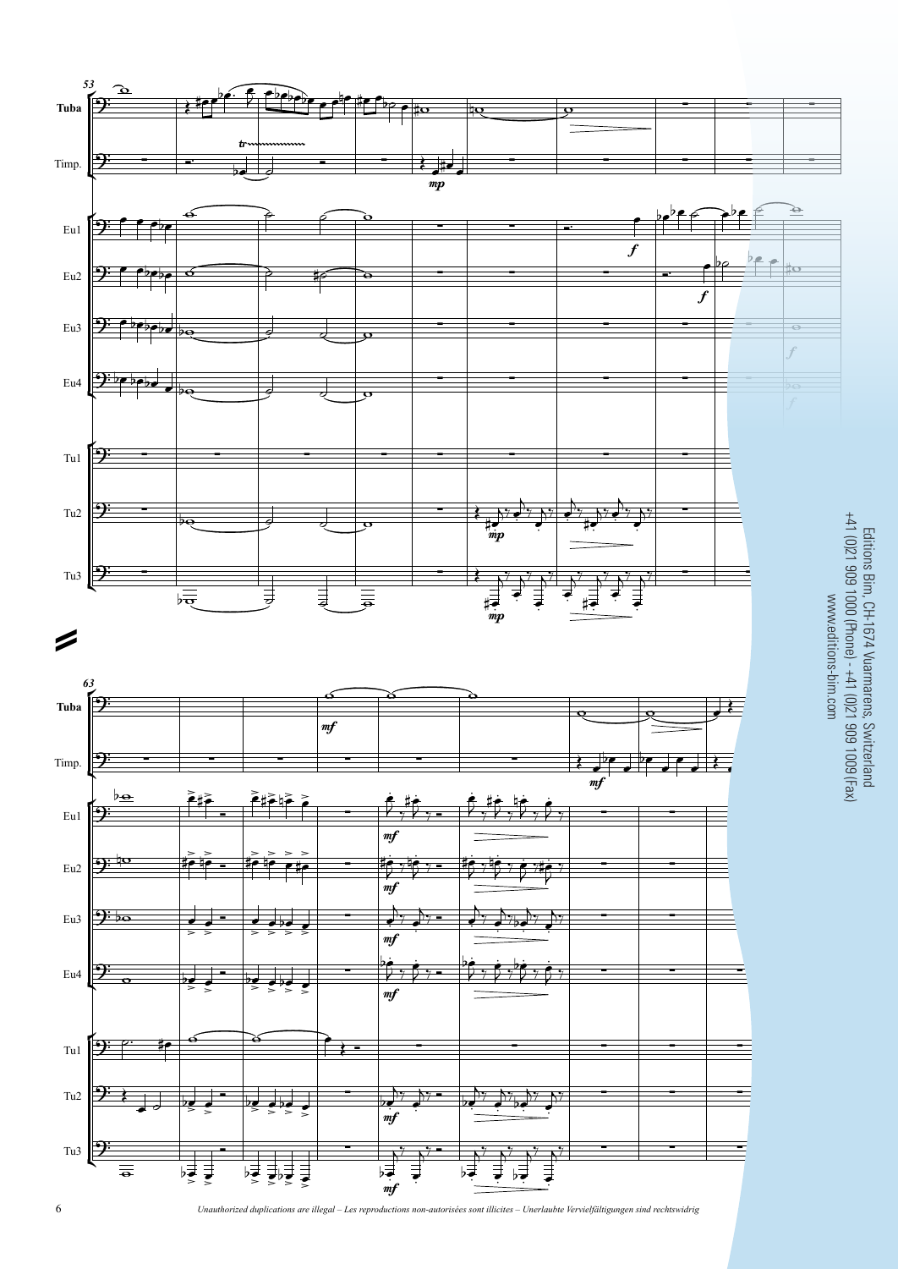

Editions Bim, CH-1674 Vuarmarens, Switzerland +41 (0)21 909 1000 (Phone) - +41 (0)21 909 1009 (Fax)

*Unauthorized duplications are illegal – Les reproductions non-autorisées sont illicites – Unerlaubte Vervielfältigungen sind rechtswidrig*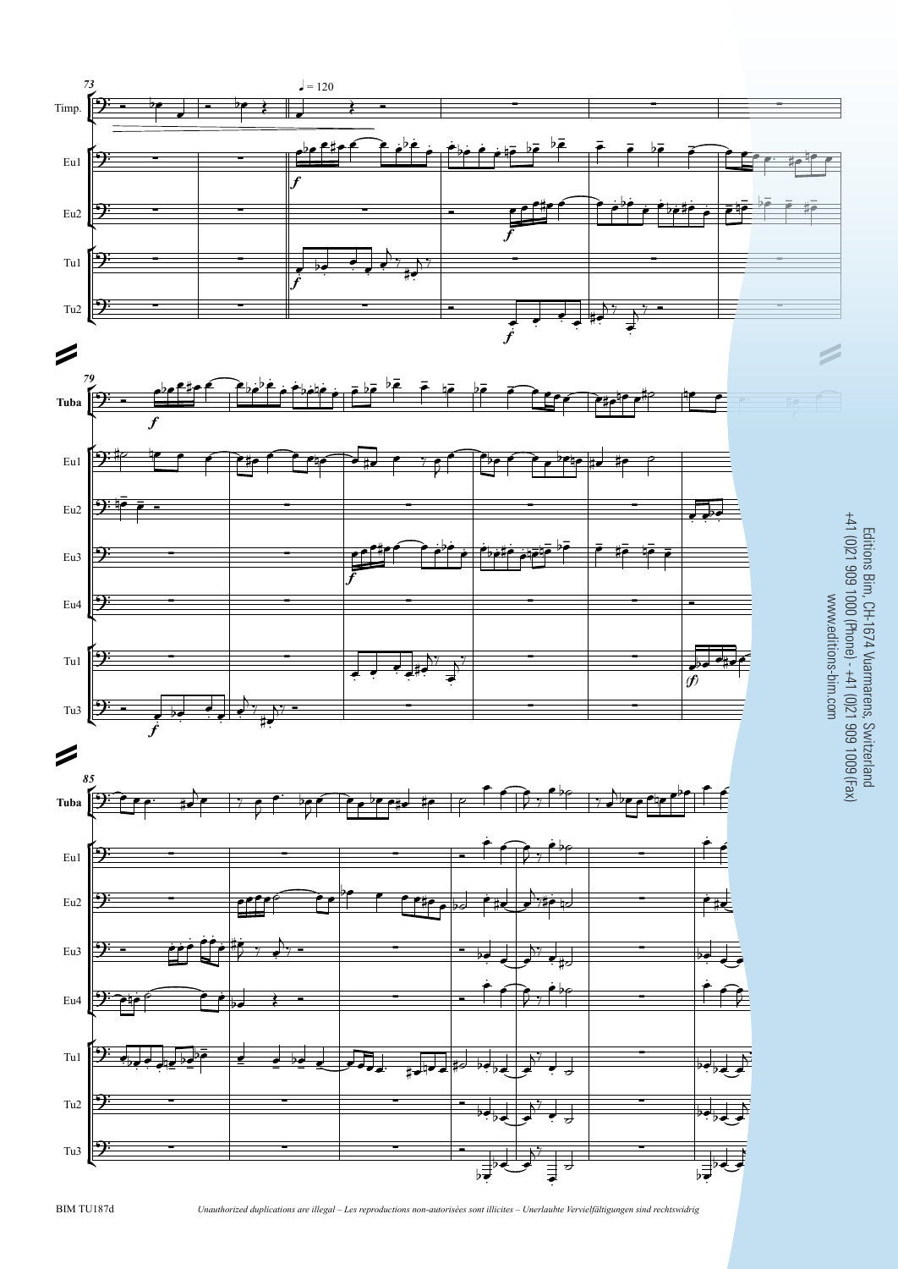